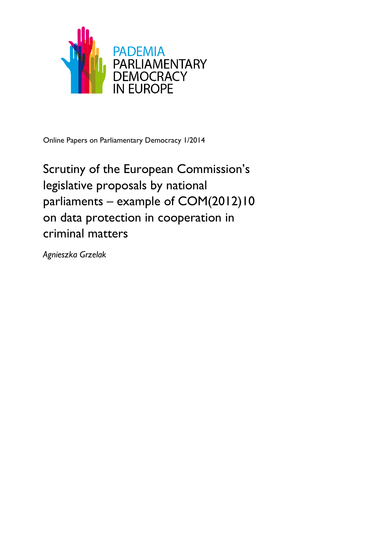

Online Papers on Parliamentary Democracy 1/2014

Scrutiny of the European Commission's legislative proposals by national parliaments – example of COM(2012)10 on data protection in cooperation in criminal matters

*Agnieszka Grzelak*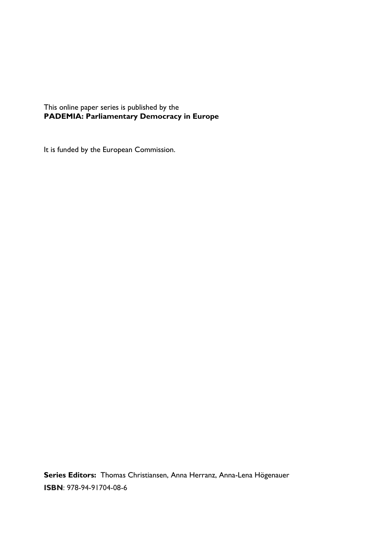This online paper series is published by the **PADEMIA: Parliamentary Democracy in Europe**

It is funded by the European Commission.

**Series Editors:** Thomas Christiansen, Anna Herranz, Anna-Lena Högenauer **ISBN**: 978-94-91704-08-6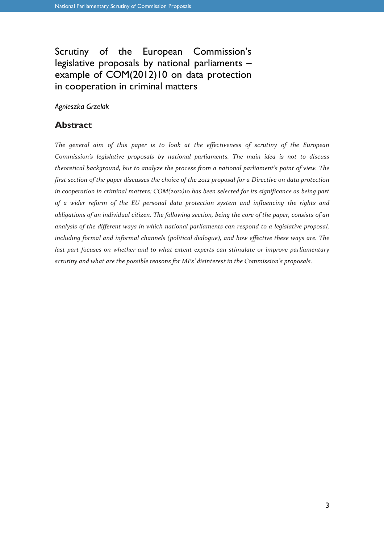## Scrutiny of the European Commission's legislative proposals by national parliaments – example of COM(2012)10 on data protection in cooperation in criminal matters

*Agnieszka Grzelak*

### **Abstract**

*The general aim of this paper is to look at the effectiveness of scrutiny of the European Commission's legislative proposals by national parliaments. The main idea is not to discuss theoretical background, but to analyze the process from a national parliament's point of view. The first section of the paper discusses the choice of the 2012 proposal for a Directive on data protection in cooperation in criminal matters: COM(2012)10 has been selected for its significance as being part of a wider reform of the EU personal data protection system and influencing the rights and obligations of an individual citizen. The following section, being the core of the paper, consists of an analysis of the different ways in which national parliaments can respond to a legislative proposal, including formal and informal channels (political dialogue), and how effective these ways are. The last part focuses on whether and to what extent experts can stimulate or improve parliamentary scrutiny and what are the possible reasons for MPs' disinterest in the Commission's proposals.*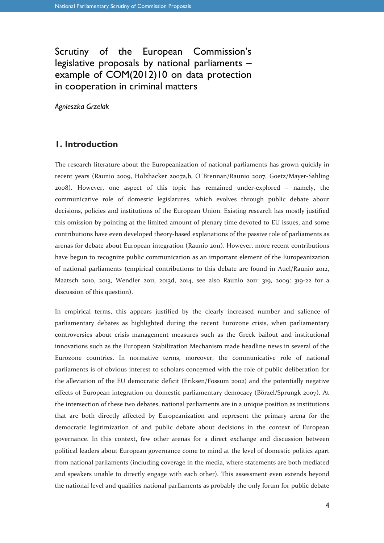## Scrutiny of the European Commission's legislative proposals by national parliaments – example of COM(2012)10 on data protection in cooperation in criminal matters

*Agnieszka Grzelak*

### **1. Introduction**

The research literature about the Europeanization of national parliaments has grown quickly in recent years (Raunio 2009, Holzhacker 2007a,b, O´Brennan/Raunio 2007, Goetz/Mayer-Sahling 2008). However, one aspect of this topic has remained under-explored – namely, the communicative role of domestic legislatures, which evolves through public debate about decisions, policies and institutions of the European Union. Existing research has mostly justified this omission by pointing at the limited amount of plenary time devoted to EU issues, and some contributions have even developed theory-based explanations of the passive role of parliaments as arenas for debate about European integration (Raunio 2011). However, more recent contributions have begun to recognize public communication as an important element of the Europeanization of national parliaments (empirical contributions to this debate are found in Auel/Raunio 2012, Maatsch 2010, 2013, Wendler 2011, 2013d, 2014, see also Raunio 2011: 319, 2009: 319-22 for a discussion of this question).

In empirical terms, this appears justified by the clearly increased number and salience of parliamentary debates as highlighted during the recent Eurozone crisis, when parliamentary controversies about crisis management measures such as the Greek bailout and institutional innovations such as the European Stabilization Mechanism made headline news in several of the Eurozone countries. In normative terms, moreover, the communicative role of national parliaments is of obvious interest to scholars concerned with the role of public deliberation for the alleviation of the EU democratic deficit (Eriksen/Fossum 2002) and the potentially negative effects of European integration on domestic parliamentary democacy (Börzel/Sprungk 2007). At the intersection of these two debates, national parliaments are in a unique position as institutions that are both directly affected by Europeanization and represent the primary arena for the democratic legitimization of and public debate about decisions in the context of European governance. In this context, few other arenas for a direct exchange and discussion between political leaders about European governance come to mind at the level of domestic politics apart from national parliaments (including coverage in the media, where statements are both mediated and speakers unable to directly engage with each other). This assessment even extends beyond the national level and qualifies national parliaments as probably the only forum for public debate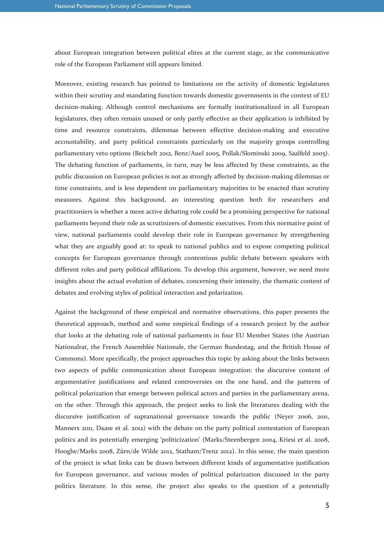about European integration between political elites at the current stage, as the communicative role of the European Parliament still appears limited.

Moreover, existing research has pointed to limitations on the activity of domestic legislatures within their scrutiny and mandating function towards domestic governments in the context of EU decision-making. Although control mechanisms are formally institutionalized in all European legislatures, they often remain unused or only partly effective as their application is inhibited by time and resource constraints, dilemmas between effective decision-making and executive accountability, and party political constraints particularly on the majority groups controlling parliamentary veto options (Beichelt 2012, Benz/Auel 2005, Pollak/Slominski 2009, Saalfeld 2005). The debating function of parliaments, in turn, may be less affected by these constraints, as the public discussion on European policies is not as strongly affected by decision-making dilemmas or time constraints, and is less dependent on parliamentary majorities to be enacted than scrutiny measures. Against this background, an interesting question both for researchers and practitioniers is whether a more active debating role could be a promising perspective for national parliaments beyond their role as scrutinizers of domestic executives. From this normative point of view, national parliaments could develop their role in European governance by strengthening what they are arguably good at: to speak to national publics and to expose competing political concepts for European governance through contentious public debate between speakers with different roles and party political affiliations. To develop this argument, however, we need more insights about the actual evolution of debates, concerning their intensity, the thematic content of debates and evolving styles of political interaction and polarization.

Against the background of these empirical and normative observations, this paper presents the theoretical approach, method and some empirical findings of a research project by the author that looks at the debating role of national parliaments in four EU Member States (the Austrian Nationalrat, the French Assemblée Nationale, the German Bundestag, and the British House of Commons). More specifically, the project approaches this topic by asking about the links between two aspects of public communication about European integration: the discursive content of argumentative justifications and related controversies on the one hand, and the patterns of political polarization that emerge between political actors and parties in the parliamentary arena, on the other. Through this approach, the project seeks to link the literatures dealing with the discursive justification of supranational governance towards the public (Neyer 2006, 2011, Manners 2011, Daase et al. 2012) with the debate on the party political contestation of European politics and its potentially emerging 'politicization' (Marks/Steenbergen 2004, Kriesi et al. 2008, Hooghe/Marks 2008, Zürn/de Wilde 2012, Statham/Trenz 2012). In this sense, the main question of the project is what links can be drawn between different kinds of argumentative justification for European governance, and various modes of political polarization discussed in the party politics literature. In this sense, the project also speaks to the question of a potentially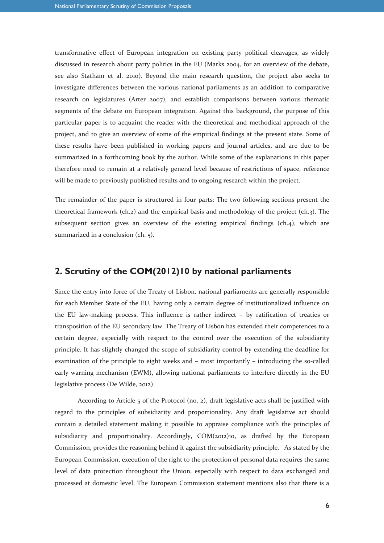transformative effect of European integration on existing party political cleavages, as widely discussed in research about party politics in the EU (Marks 2004, for an overview of the debate, see also Statham et al. 2010). Beyond the main research question, the project also seeks to investigate differences between the various national parliaments as an addition to comparative research on legislatures (Arter 2007), and establish comparisons between various thematic segments of the debate on European integration. Against this background, the purpose of this particular paper is to acquaint the reader with the theoretical and methodical approach of the project, and to give an overview of some of the empirical findings at the present state. Some of these results have been published in working papers and journal articles, and are due to be summarized in a forthcoming book by the author. While some of the explanations in this paper therefore need to remain at a relatively general level because of restrictions of space, reference will be made to previously published results and to ongoing research within the project.

The remainder of the paper is structured in four parts: The two following sections present the theoretical framework (ch.2) and the empirical basis and methodology of the project (ch.3). The subsequent section gives an overview of the existing empirical findings (ch.4), which are summarized in a conclusion (ch. 5).

### **2. Scrutiny of the COM(2012)10 by national parliaments**

Since the entry into force of the Treaty of Lisbon, national parliaments are generally responsible for each Member State of the EU, having only a certain degree of institutionalized influence on the EU law-making process. This influence is rather indirect – by ratification of treaties or transposition of the EU secondary law. The Treaty of Lisbon has extended their competences to a certain degree, especially with respect to the control over the execution of the subsidiarity principle. It has slightly changed the scope of subsidiarity control by extending the deadline for examination of the principle to eight weeks and – most importantly – introducing the so-called early warning mechanism (EWM), allowing national parliaments to interfere directly in the EU legislative process (De Wilde, 2012).

According to Article 5 of the Protocol (no. 2), draft legislative acts shall be justified with regard to the principles of subsidiarity and proportionality. Any draft legislative act should contain a detailed statement making it possible to appraise compliance with the principles of subsidiarity and proportionality. Accordingly, COM(2012)10, as drafted by the European Commission, provides the reasoning behind it against the subsidiarity principle. As stated by the European Commission, execution of the right to the protection of personal data requires the same level of data protection throughout the Union, especially with respect to data exchanged and processed at domestic level. The European Commission statement mentions also that there is a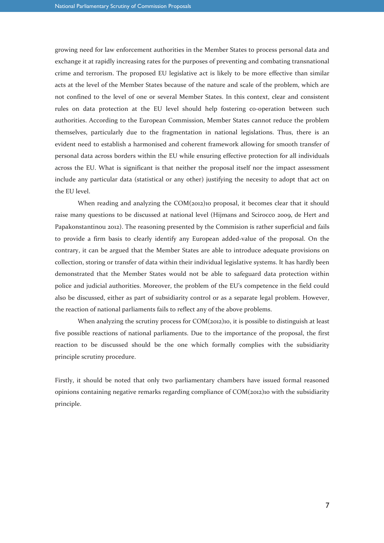growing need for law enforcement authorities in the Member States to process personal data and exchange it at rapidly increasing rates for the purposes of preventing and combating transnational crime and terrorism. The proposed EU legislative act is likely to be more effective than similar acts at the level of the Member States because of the nature and scale of the problem, which are not confined to the level of one or several Member States. In this context, clear and consistent rules on data protection at the EU level should help fostering co-operation between such authorities. According to the European Commission, Member States cannot reduce the problem themselves, particularly due to the fragmentation in national legislations. Thus, there is an evident need to establish a harmonised and coherent framework allowing for smooth transfer of personal data across borders within the EU while ensuring effective protection for all individuals across the EU. What is significant is that neither the proposal itself nor the impact assessment include any particular data (statistical or any other) justifying the necesity to adopt that act on the EU level.

When reading and analyzing the COM(2012)10 proposal, it becomes clear that it should raise many questions to be discussed at national level (Hijmans and Scirocco 2009, de Hert and Papakonstantinou 2012). The reasoning presented by the Commision is rather superficial and fails to provide a firm basis to clearly identify any European added-value of the proposal. On the contrary, it can be argued that the Member States are able to introduce adequate provisions on collection, storing or transfer of data within their individual legislative systems. It has hardly been demonstrated that the Member States would not be able to safeguard data protection within police and judicial authorities. Moreover, the problem of the EU's competence in the field could also be discussed, either as part of subsidiarity control or as a separate legal problem. However, the reaction of national parliaments fails to reflect any of the above problems.

When analyzing the scrutiny process for COM(2012)10, it is possible to distinguish at least five possible reactions of national parliaments. Due to the importance of the proposal, the first reaction to be discussed should be the one which formally complies with the subsidiarity principle scrutiny procedure.

Firstly, it should be noted that only two parliamentary chambers have issued formal reasoned opinions containing negative remarks regarding compliance of COM(2012)10 with the subsidiarity principle.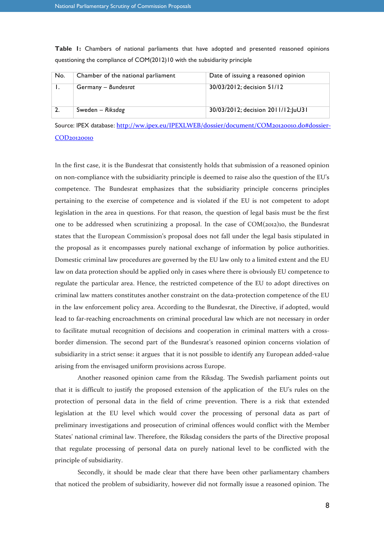| No. | Chamber of the national parliament | Date of issuing a reasoned opinion  |
|-----|------------------------------------|-------------------------------------|
|     | Germany - Bundesrat                | 30/03/2012; decision 51/12          |
|     | Sweden - Riksdag                   | 30/03/2012; decision 2011/12: JuU31 |

**Table 1:** Chambers of national parliaments that have adopted and presented reasoned opinions questioning the compliance of COM(2012)10 with the subsidiarity principle

Source: IPEX database: http://ww.ipex.eu/IPEXLWEB/dossier/document/COM20120010.do#dossier-COD20120010

# In the first case, it is the Bundesrat that consistently holds that submission of a reasoned opinion on non-compliance with the subsidiarity principle is deemed to raise also the question of the EU's competence. The Bundesrat emphasizes that the subsidiarity principle concerns principles pertaining to the exercise of competence and is violated if the EU is not competent to adopt legislation in the area in questions. For that reason, the question of legal basis must be the first one to be addressed when scrutinizing a proposal. In the case of COM(2012)10, the Bundesrat states that the European Commission's proposal does not fall under the legal basis stipulated in the proposal as it encompasses purely national exchange of information by police authorities. Domestic criminal law procedures are governed by the EU law only to a limited extent and the EU law on data protection should be applied only in cases where there is obviously EU competence to regulate the particular area. Hence, the restricted competence of the EU to adopt directives on criminal law matters constitutes another constraint on the data-protection competence of the EU in the law enforcement policy area. According to the Bundesrat, the Directive, if adopted, would lead to far-reaching encroachments on criminal procedural law which are not necessary in order to facilitate mutual recognition of decisions and cooperation in criminal matters with a crossborder dimension. The second part of the Bundesrat's reasoned opinion concerns violation of subsidiarity in a strict sense: it argues that it is not possible to identify any European added-value arising from the envisaged uniform provisions across Europe.

Another reasoned opinion came from the Riksdag. The Swedish parliament points out that it is difficult to justify the proposed extension of the application of the EU's rules on the protection of personal data in the field of crime prevention. There is a risk that extended legislation at the EU level which would cover the processing of personal data as part of preliminary investigations and prosecution of criminal offences would conflict with the Member States' national criminal law. Therefore, the Riksdag considers the parts of the Directive proposal that regulate processing of personal data on purely national level to be conflicted with the principle of subsidiarity.

Secondly, it should be made clear that there have been other parliamentary chambers that noticed the problem of subsidiarity, however did not formally issue a reasoned opinion. The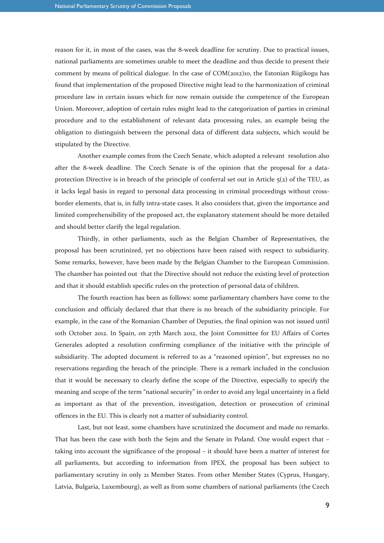reason for it, in most of the cases, was the 8-week deadline for scrutiny. Due to practical issues, national parliaments are sometimes unable to meet the deadline and thus decide to present their comment by means of political dialogue. In the case of COM(2012)10, the Estonian Riigikogu has found that implementation of the proposed Directive might lead to the harmonization of criminal procedure law in certain issues which for now remain outside the competence of the European Union. Moreover, adoption of certain rules might lead to the categorization of parties in criminal procedure and to the establishment of relevant data processing rules, an example being the obligation to distinguish between the personal data of different data subjects, which would be stipulated by the Directive.

Another example comes from the Czech Senate, which adopted a relevant resolution also after the 8-week deadline. The Czech Senate is of the opinion that the proposal for a dataprotection Directive is in breach of the principle of conferral set out in Article  $5(2)$  of the TEU, as it lacks legal basis in regard to personal data processing in criminal proceedings without crossborder elements, that is, in fully intra-state cases. It also considers that, given the importance and limited comprehensibility of the proposed act, the explanatory statement should be more detailed and should better clarify the legal regulation.

Thirdly, in other parliaments, such as the Belgian Chamber of Representatives, the proposal has been scrutinized, yet no objections have been raised with respect to subsidiarity. Some remarks, however, have been made by the Belgian Chamber to the European Commission. The chamber has pointed out that the Directive should not reduce the existing level of protection and that it should establish specific rules on the protection of personal data of children.

The fourth reaction has been as follows: some parliamentary chambers have come to the conclusion and officialy declared that that there is no breach of the subsidiarity principle. For example, in the case of the Romanian Chamber of Deputies, the final opinion was not issued until 10th October 2012. In Spain, on 27th March 2012, the Joint Committee for EU Affairs of Cortes Generales adopted a resolution confirming compliance of the initiative with the principle of subsidiarity. The adopted document is referred to as a "reasoned opinion", but expresses no no reservations regarding the breach of the principle. There is a remark included in the conclusion that it would be necessary to clearly define the scope of the Directive, especially to specify the meaning and scope of the term "national security" in order to avoid any legal uncertainty in a field as important as that of the prevention, investigation, detection or prosecution of criminal offences in the EU. This is clearly not a matter of subsidiarity control.

Last, but not least, some chambers have scrutinized the document and made no remarks. That has been the case with both the Sejm and the Senate in Poland. One would expect that – taking into account the significance of the proposal – it should have been a matter of interest for all parliaments, but according to information from IPEX, the proposal has been subject to parliamentary scrutiny in only 21 Member States. From other Member States (Cyprus, Hungary, Latvia, Bulgaria, Luxembourg), as well as from some chambers of national parliaments (the Czech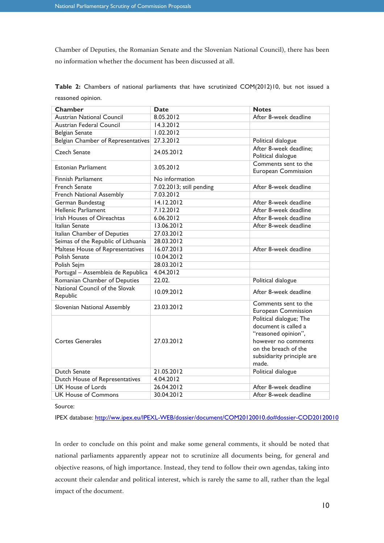Chamber of Deputies, the Romanian Senate and the Slovenian National Council), there has been no information whether the document has been discussed at all.

**Table 2:** Chambers of national parliaments that have scrutinized COM(2012)10, but not issued a reasoned opinion.

| <b>Chamber</b>                             | <b>Date</b>              | <b>Notes</b>                                                                                                                                                 |
|--------------------------------------------|--------------------------|--------------------------------------------------------------------------------------------------------------------------------------------------------------|
| <b>Austrian National Council</b>           | 8.05.2012                | After 8-week deadline                                                                                                                                        |
| Austrian Federal Council                   | 14.3.2012                |                                                                                                                                                              |
| <b>Belgian Senate</b>                      | 1.02,2012                |                                                                                                                                                              |
| Belgian Chamber of Representatives         | 27.3.2012                | Political dialogue                                                                                                                                           |
| Czech Senate                               | 24.05.2012               | After 8-week deadline;<br>Political dialogue                                                                                                                 |
| Estonian Parliament                        | 3.05.2012                | Comments sent to the<br>European Commission                                                                                                                  |
| <b>Finnish Parliament</b>                  | No information           |                                                                                                                                                              |
| <b>French Senate</b>                       | 7.02.2013; still pending | After 8-week deadline                                                                                                                                        |
| French National Assembly                   | 7.03.2012                |                                                                                                                                                              |
| German Bundestag                           | 14.12.2012               | After 8-week deadline                                                                                                                                        |
| Hellenic Parliament                        | 7.12.2012                | After 8-week deadline                                                                                                                                        |
| <b>Irish Houses of Oireachtas</b>          | 6.06.2012                | After 8-week deadline                                                                                                                                        |
| Italian Senate                             | 13.06.2012               | After 8-week deadline                                                                                                                                        |
| Italian Chamber of Deputies                | 27.03.2012               |                                                                                                                                                              |
| Seimas of the Republic of Lithuania        | 28.03.2012               |                                                                                                                                                              |
| Maltese House of Representatives           | 16.07.2013               | After 8-week deadline                                                                                                                                        |
| <b>Polish Senate</b>                       | 10.04.2012               |                                                                                                                                                              |
| Polish Sejm                                | 28.03.2012               |                                                                                                                                                              |
| Portugal - Assembleia de Republica         | 4.04.2012                |                                                                                                                                                              |
| Romanian Chamber of Deputies               | 22.02.                   | Political dialogue                                                                                                                                           |
| National Council of the Slovak<br>Republic | 10.09.2012               | After 8-week deadline                                                                                                                                        |
| Slovenian National Assembly                | 23.03.2012               | Comments sent to the<br><b>European Commission</b>                                                                                                           |
| <b>Cortes Generales</b>                    | 27.03.2012               | Political dialogue; The<br>document is called a<br>"reasoned opinion",<br>however no comments<br>on the breach of the<br>subsidiarity principle are<br>made. |
| <b>Dutch Senate</b>                        | 21.05.2012               | Political dialogue                                                                                                                                           |
| Dutch House of Representatives             | 4.04.2012                |                                                                                                                                                              |
| <b>UK House of Lords</b>                   | 26.04.2012               | After 8-week deadline                                                                                                                                        |
| <b>UK House of Commons</b>                 | 30.04.2012               | After 8-week deadline                                                                                                                                        |

Source:

IPEX database: http://ww.ipex.eu/IPEXL-WEB/dossier/document/COM20120010.do#dossier-COD20120010

In order to conclude on this point and make some general comments, it should be noted that national parliaments apparently appear not to scrutinize all documents being, for general and objective reasons, of high importance. Instead, they tend to follow their own agendas, taking into account their calendar and political interest, which is rarely the same to all, rather than the legal impact of the document.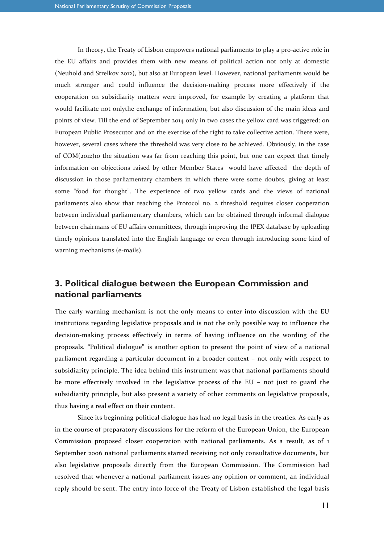In theory, the Treaty of Lisbon empowers national parliaments to play a pro-active role in the EU affairs and provides them with new means of political action not only at domestic (Neuhold and Strelkov 2012), but also at European level. However, national parliaments would be much stronger and could influence the decision-making process more effectively if the cooperation on subsidiarity matters were improved, for example by creating a platform that would facilitate not onlythe exchange of information, but also discussion of the main ideas and points of view. Till the end of September 2014 only in two cases the yellow card was triggered: on European Public Prosecutor and on the exercise of the right to take collective action. There were, however, several cases where the threshold was very close to be achieved. Obviously, in the case of COM(2012)10 the situation was far from reaching this point, but one can expect that timely information on objections raised by other Member States would have affected the depth of discussion in those parliamentary chambers in which there were some doubts, giving at least some "food for thought". The experience of two yellow cards and the views of national parliaments also show that reaching the Protocol no. 2 threshold requires closer cooperation between individual parliamentary chambers, which can be obtained through informal dialogue between chairmans of EU affairs committees, through improving the IPEX database by uploading timely opinions translated into the English language or even through introducing some kind of warning mechanisms (e-mails).

## **3. Political dialogue between the European Commission and national parliaments**

The early warning mechanism is not the only means to enter into discussion with the EU institutions regarding legislative proposals and is not the only possible way to influence the decision-making process effectively in terms of having influence on the wording of the proposals. "Political dialogue" is another option to present the point of view of a national parliament regarding a particular document in a broader context – not only with respect to subsidiarity principle. The idea behind this instrument was that national parliaments should be more effectively involved in the legislative process of the EU – not just to guard the subsidiarity principle, but also present a variety of other comments on legislative proposals, thus having a real effect on their content.

Since its beginning political dialogue has had no legal basis in the treaties. As early as in the course of preparatory discussions for the reform of the European Union, the European Commission proposed closer cooperation with national parliaments. As a result, as of 1 September 2006 national parliaments started receiving not only consultative documents, but also legislative proposals directly from the European Commission. The Commission had resolved that whenever a national parliament issues any opinion or comment, an individual reply should be sent. The entry into force of the Treaty of Lisbon established the legal basis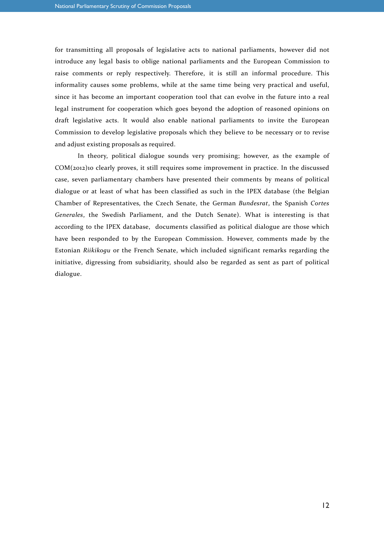for transmitting all proposals of legislative acts to national parliaments, however did not introduce any legal basis to oblige national parliaments and the European Commission to raise comments or reply respectively. Therefore, it is still an informal procedure. This informality causes some problems, while at the same time being very practical and useful, since it has become an important cooperation tool that can evolve in the future into a real legal instrument for cooperation which goes beyond the adoption of reasoned opinions on draft legislative acts. It would also enable national parliaments to invite the European Commission to develop legislative proposals which they believe to be necessary or to revise and adjust existing proposals as required.

In theory, political dialogue sounds very promising; however, as the example of COM(2012)10 clearly proves, it still requires some improvement in practice. In the discussed case, seven parliamentary chambers have presented their comments by means of political dialogue or at least of what has been classified as such in the IPEX database (the Belgian Chamber of Representatives, the Czech Senate, the German *Bundesrat*, the Spanish *Cortes Generales*, the Swedish Parliament, and the Dutch Senate). What is interesting is that according to the IPEX database, documents classified as political dialogue are those which have been responded to by the European Commission. However, comments made by the Estonian *Riikikogu* or the French Senate, which included significant remarks regarding the initiative, digressing from subsidiarity, should also be regarded as sent as part of political dialogue.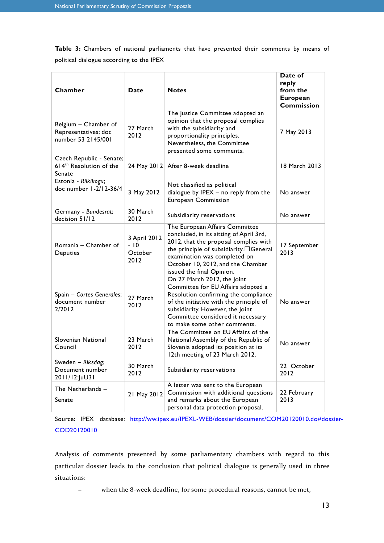**Table 3:** Chambers of national parliaments that have presented their comments by means of political dialogue according to the IPEX

| Chamber                                                            | Date                                     | <b>Notes</b>                                                                                                                                                                                                                                                    | Date of<br>reply<br>from the<br><b>European</b><br><b>Commission</b> |
|--------------------------------------------------------------------|------------------------------------------|-----------------------------------------------------------------------------------------------------------------------------------------------------------------------------------------------------------------------------------------------------------------|----------------------------------------------------------------------|
| Belgium - Chamber of<br>Representatives; doc<br>number 53 2145/001 | 27 March<br>2012                         | The Justice Committee adopted an<br>opinion that the proposal complies<br>with the subsidiarity and<br>proportionality principles.<br>Nevertheless, the Committee<br>presented some comments.                                                                   | 7 May 2013                                                           |
| Czech Republic - Senate;<br>$614th$ Resolution of the<br>Senate    |                                          | 24 May 2012 After 8-week deadline                                                                                                                                                                                                                               | 18 March 2013                                                        |
| Estonia - Riikikogu;<br>doc number 1-2/12-36/4                     | 3 May 2012                               | Not classified as political<br>dialogue by IPEX - no reply from the<br><b>European Commission</b>                                                                                                                                                               | No answer                                                            |
| Germany - Bundesrat;<br>decision 51/12                             | 30 March<br>2012                         | Subsidiarity reservations                                                                                                                                                                                                                                       | No answer                                                            |
| Romania - Chamber of<br>Deputies                                   | 3 April 2012<br>$-10$<br>October<br>2012 | The European Affairs Committee<br>concluded, in its sitting of April 3rd,<br>2012, that the proposal complies with<br>the principle of subsidiarity.J General<br>examination was completed on<br>October 10, 2012, and the Chamber<br>issued the final Opinion. | 17 September<br>2013                                                 |
| Spain - Cortes Generales;<br>document number<br>2/2012             | 27 March<br>2012                         | On 27 March 2012, the Joint<br>Committee for EU Affairs adopted a<br>Resolution confirming the compliance<br>of the initiative with the principle of<br>subsidiarity. However, the Joint<br>Committee considered it necessary<br>to make some other comments.   | No answer                                                            |
| Slovenian National<br>Council                                      | 23 March<br>2012                         | The Committee on EU Affairs of the<br>National Assembly of the Republic of<br>Slovenia adopted its position at its<br>12th meeting of 23 March 2012.                                                                                                            | No answer                                                            |
| Sweden - Riksdag;<br>Document number<br>2011/12:JuU31              | 30 March<br>2012                         | Subsidiarity reservations                                                                                                                                                                                                                                       | 22 October<br>2012                                                   |
| The Netherlands -<br>Senate                                        | 21 May 2012                              | A letter was sent to the European<br>Commission with additional questions<br>and remarks about the European<br>personal data protection proposal.                                                                                                               | 22 February<br>2013                                                  |

Source: IPEX database: http://ww.ipex.eu/IPEXL-WEB/dossier/document/COM20120010.do#dossier-COD20120010

Analysis of comments presented by some parliamentary chambers with regard to this particular dossier leads to the conclusion that political dialogue is generally used in three situations:

− when the 8-week deadline, for some procedural reasons, cannot be met,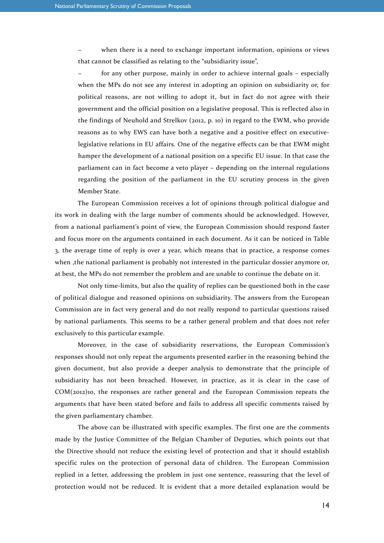when there is a need to exchange important information, opinions or views that cannot be classified as relating to the "subsidiarity issue",

for any other purpose, mainly in order to achieve internal goals – especially when the MPs do not see any interest in adopting an opinion on subsidiarity or, for political reasons, are not willing to adopt it, but in fact do not agree with their government and the official position on a legislative proposal. This is reflected also in the findings of Neuhold and Strelkov (2012, p. 10) in regard to the EWM, who provide reasons as to why EWS can have both a negative and a positive effect on executivelegislative relations in EU affairs. One of the negative effects can be that EWM might hamper the development of a national position on a specific EU issue. In that case the parliament can in fact become a veto player – depending on the internal regulations regarding the position of the parliament in the EU scrutiny process in the given Member State.

The European Commission receives a lot of opinions through political dialogue and its work in dealing with the large number of comments should be acknowledged. However, from a national parliament's point of view, the European Commission should respond faster and focus more on the arguments contained in each document. As it can be noticed in Table 3, the average time of reply is over a year, which means that in practice, a response comes when ,the national parliament is probably not interested in the particular dossier anymore or, at best, the MPs do not remember the problem and are unable to continue the debate on it.

Not only time-limits, but also the quality of replies can be questioned both in the case of political dialogue and reasoned opinions on subsidiarity. The answers from the European Commission are in fact very general and do not really respond to particular questions raised by national parliaments. This seems to be a rather general problem and that does not refer exclusively to this particular example.

Moreover, in the case of subsidiarity reservations, the European Commission's responses should not only repeat the arguments presented earlier in the reasoning behind the given document, but also provide a deeper analysis to demonstrate that the principle of subsidiarity has not been breached. However, in practice, as it is clear in the case of COM(2012)10, the responses are rather general and the European Commission repeats the arguments that have been stated before and fails to address all specific comments raised by the given parliamentary chamber.

The above can be illustrated with specific examples. The first one are the comments made by the Justice Committee of the Belgian Chamber of Deputies, which points out that the Directive should not reduce the existing level of protection and that it should establish specific rules on the protection of personal data of children. The European Commission replied in a letter, addressing the problem in just one sentence, reassuring that the level of protection would not be reduced. It is evident that a more detailed explanation would be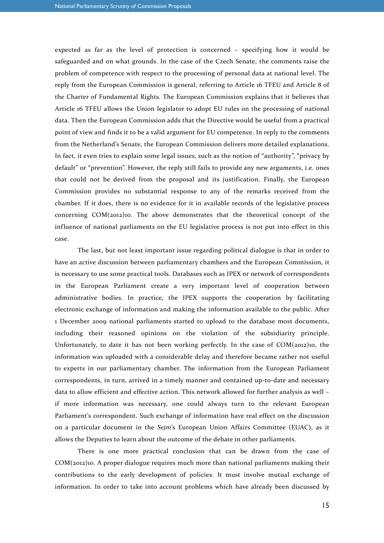expected as far as the level of protection is concerned – specifying how it would be safeguarded and on what grounds. In the case of the Czech Senate, the comments raise the problem of competence with respect to the processing of personal data at national level. The reply from the European Commission is general, referring to Article 16 TFEU and Article 8 of the Charter of Fundamental Rights. The European Commission explains that it believes that Article 16 TFEU allows the Union legislator to adopt EU rules on the processing of national data. Then the European Commission adds that the Directive would be useful from a practical point of view and finds it to be a valid argument for EU competence. In reply to the comments from the Netherland's Senate, the European Commission delivers more detailed explanations. In fact, it even tries to explain some legal issues, such as the notion of "authority", "privacy by default" or "prevention". However, the reply still fails to provide any new arguments, i.e. ones that could not be derived from the proposal and its justification. Finally, the European Commission provides no substantial response to any of the remarks received from the chamber. If it does, there is no evidence for it in available records of the legislative process concerning  $COM(2012)10$ . The above demonstrates that the theoretical concept of the influence of national parliaments on the EU legislative process is not put into effect in this case.

The last, but not least important issue regarding political dialogue is that in order to have an active discussion between parliamentary chambers and the European Commission, it is necessary to use some practical tools. Databases such as IPEX or network of correspondents in the European Parliament create a very important level of cooperation between administrative bodies. In practice, the IPEX supports the cooperation by facilitating electronic exchange of information and making the information available to the public. After 1 December 2009 national parliaments started to upload to the database most documents, including their reasoned opinions on the violation of the subsidiarity principle. Unfortunately, to date it has not been working perfectly. In the case of  $COM(z_{012})_{10}$ , the information was uploaded with a considerable delay and therefore became rather not useful to experts in our parliamentary chamber. The information from the European Parliament correspondents, in turn, arrived in a timely manner and contained up-to-date and necessary data to allow efficient and effective action. This network allowed for further analysis as well – if more information was necessary, one could always turn to the relevant European Parliament's correspondent. Such exchange of information have real effect on the discussion on a particular document in the *Sejm*'s European Union Affairs Committee (EUAC), as it allows the Deputies to learn about the outcome of the debate in other parliaments.

There is one more practical conclusion that can be drawn from the case of COM(2012)10. A proper dialogue requires much more than national parliaments making their contributions to the early development of policies. It must involve mutual exchange of information. In order to take into account problems which have already been discussed by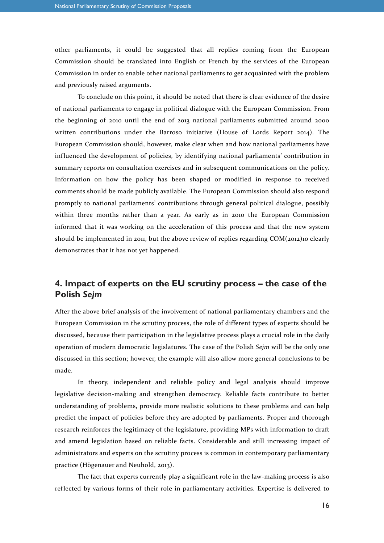other parliaments, it could be suggested that all replies coming from the European Commission should be translated into English or French by the services of the European Commission in order to enable other national parliaments to get acquainted with the problem and previously raised arguments.

To conclude on this point, it should be noted that there is clear evidence of the desire of national parliaments to engage in political dialogue with the European Commission. From the beginning of 2010 until the end of 2013 national parliaments submitted around 2000 written contributions under the Barroso initiative (House of Lords Report 2014). The European Commission should, however, make clear when and how national parliaments have influenced the development of policies, by identifying national parliaments' contribution in summary reports on consultation exercises and in subsequent communications on the policy. Information on how the policy has been shaped or modified in response to received comments should be made publicly available. The European Commission should also respond promptly to national parliaments' contributions through general political dialogue, possibly within three months rather than a year. As early as in 2010 the European Commission informed that it was working on the acceleration of this process and that the new system should be implemented in 2011, but the above review of replies regarding COM(2012)10 clearly demonstrates that it has not yet happened.

## **4. Impact of experts on the EU scrutiny process – the case of the Polish** *Sejm*

After the above brief analysis of the involvement of national parliamentary chambers and the European Commission in the scrutiny process, the role of different types of experts should be discussed, because their participation in the legislative process plays a crucial role in the daily operation of modern democratic legislatures. The case of the Polish *Sejm* will be the only one discussed in this section; however, the example will also allow more general conclusions to be made.

In theory, independent and reliable policy and legal analysis should improve legislative decision-making and strengthen democracy. Reliable facts contribute to better understanding of problems, provide more realistic solutions to these problems and can help predict the impact of policies before they are adopted by parliaments. Proper and thorough research reinforces the legitimacy of the legislature, providing MPs with information to draft and amend legislation based on reliable facts. Considerable and still increasing impact of administrators and experts on the scrutiny process is common in contemporary parliamentary practice (Högenauer and Neuhold, 2013).

The fact that experts currently play a significant role in the law-making process is also reflected by various forms of their role in parliamentary activities. Expertise is delivered to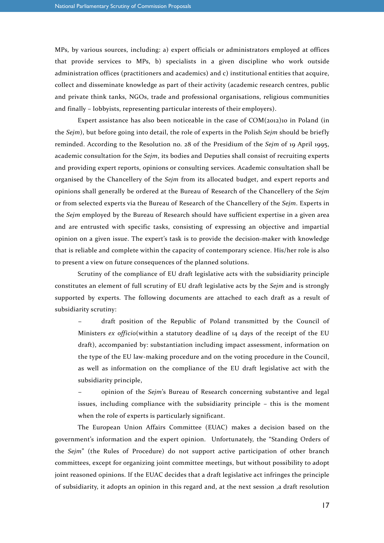MPs, by various sources, including: a) expert officials or administrators employed at offices that provide services to MPs, b) specialists in a given discipline who work outside administration offices (practitioners and academics) and c) institutional entities that acquire, collect and disseminate knowledge as part of their activity (academic research centres, public and private think tanks, NGOs, trade and professional organisations, religious communities and finally – lobbyists, representing particular interests of their employers).

Expert assistance has also been noticeable in the case of  $COM(z_{012})$ 10 in Poland (in the *Sejm*), but before going into detail, the role of experts in the Polish *Sejm* should be briefly reminded. According to the Resolution no. 28 of the Presidium of the *Sejm* of 19 April 1995, academic consultation for the *Sejm*, its bodies and Deputies shall consist of recruiting experts and providing expert reports, opinions or consulting services. Academic consultation shall be organised by the Chancellery of the *Sejm* from its allocated budget, and expert reports and opinions shall generally be ordered at the Bureau of Research of the Chancellery of the *Sejm* or from selected experts via the Bureau of Research of the Chancellery of the *Sejm*. Experts in the *Sejm* employed by the Bureau of Research should have sufficient expertise in a given area and are entrusted with specific tasks, consisting of expressing an objective and impartial opinion on a given issue. The expert's task is to provide the decision-maker with knowledge that is reliable and complete within the capacity of contemporary science. His/her role is also to present a view on future consequences of the planned solutions.

Scrutiny of the compliance of EU draft legislative acts with the subsidiarity principle constitutes an element of full scrutiny of EU draft legislative acts by the *Sejm* and is strongly supported by experts. The following documents are attached to each draft as a result of subsidiarity scrutiny:

− draft position of the Republic of Poland transmitted by the Council of Ministers *ex officio*(within a statutory deadline of 14 days of the receipt of the EU draft), accompanied by: substantiation including impact assessment, information on the type of the EU law-making procedure and on the voting procedure in the Council, as well as information on the compliance of the EU draft legislative act with the subsidiarity principle,

− opinion of the *Sejm*'s Bureau of Research concerning substantive and legal issues, including compliance with the subsidiarity principle – this is the moment when the role of experts is particularly significant.

The European Union Affairs Committee (EUAC) makes a decision based on the government's information and the expert opinion. Unfortunately, the "Standing Orders of the *Sejm*" (the Rules of Procedure) do not support active participation of other branch committees, except for organizing joint committee meetings, but without possibility to adopt joint reasoned opinions. If the EUAC decides that a draft legislative act infringes the principle of subsidiarity, it adopts an opinion in this regard and, at the next session ,a draft resolution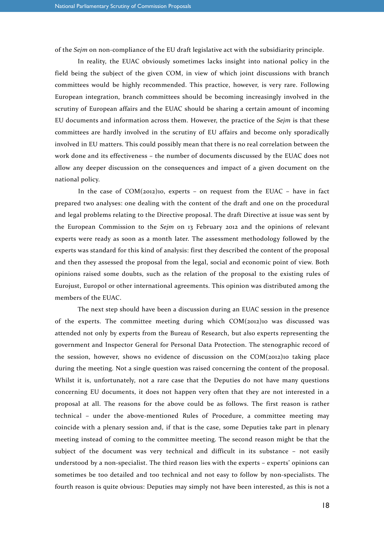of the *Sejm* on non-compliance of the EU draft legislative act with the subsidiarity principle.

In reality, the EUAC obviously sometimes lacks insight into national policy in the field being the subject of the given COM, in view of which joint discussions with branch committees would be highly recommended. This practice, however, is very rare. Following European integration, branch committees should be becoming increasingly involved in the scrutiny of European affairs and the EUAC should be sharing a certain amount of incoming EU documents and information across them. However, the practice of the *Sejm* is that these committees are hardly involved in the scrutiny of EU affairs and become only sporadically involved in EU matters. This could possibly mean that there is no real correlation between the work done and its effectiveness – the number of documents discussed by the EUAC does not allow any deeper discussion on the consequences and impact of a given document on the national policy.

In the case of  $COM(2012)10$ , experts – on request from the EUAC – have in fact prepared two analyses: one dealing with the content of the draft and one on the procedural and legal problems relating to the Directive proposal. The draft Directive at issue was sent by the European Commission to the *Sejm* on 13 February 2012 and the opinions of relevant experts were ready as soon as a month later. The assessment methodology followed by the experts was standard for this kind of analysis: first they described the content of the proposal and then they assessed the proposal from the legal, social and economic point of view. Both opinions raised some doubts, such as the relation of the proposal to the existing rules of Eurojust, Europol or other international agreements. This opinion was distributed among the members of the EUAC.

The next step should have been a discussion during an EUAC session in the presence of the experts. The committee meeting during which COM(2012)10 was discussed was attended not only by experts from the Bureau of Research, but also experts representing the government and Inspector General for Personal Data Protection. The stenographic record of the session, however, shows no evidence of discussion on the COM(2012)10 taking place during the meeting. Not a single question was raised concerning the content of the proposal. Whilst it is, unfortunately, not a rare case that the Deputies do not have many questions concerning EU documents, it does not happen very often that they are not interested in a proposal at all. The reasons for the above could be as follows. The first reason is rather technical – under the above-mentioned Rules of Procedure, a committee meeting may coincide with a plenary session and, if that is the case, some Deputies take part in plenary meeting instead of coming to the committee meeting. The second reason might be that the subject of the document was very technical and difficult in its substance – not easily understood by a non-specialist. The third reason lies with the experts – experts' opinions can sometimes be too detailed and too technical and not easy to follow by non-specialists. The fourth reason is quite obvious: Deputies may simply not have been interested, as this is not a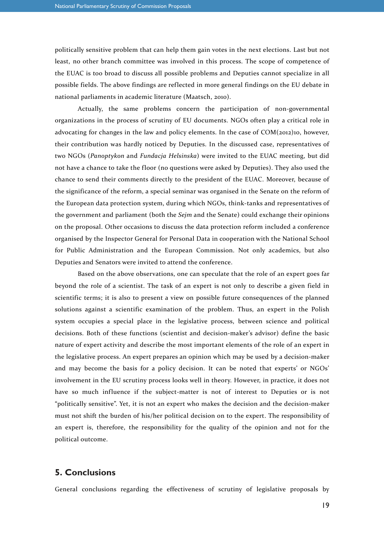politically sensitive problem that can help them gain votes in the next elections. Last but not least, no other branch committee was involved in this process. The scope of competence of the EUAC is too broad to discuss all possible problems and Deputies cannot specialize in all possible fields. The above findings are reflected in more general findings on the EU debate in national parliaments in academic literature (Maatsch, 2010).

Actually, the same problems concern the participation of non-governmental organizations in the process of scrutiny of EU documents. NGOs often play a critical role in advocating for changes in the law and policy elements. In the case of  $COM(z_{012})_{10}$ , however, their contribution was hardly noticed by Deputies. In the discussed case, representatives of two NGOs (*Panoptykon* and *Fundacja Helsinska*) were invited to the EUAC meeting, but did not have a chance to take the floor (no questions were asked by Deputies). They also used the chance to send their comments directly to the president of the EUAC. Moreover, because of the significance of the reform, a special seminar was organised in the Senate on the reform of the European data protection system, during which NGOs, think-tanks and representatives of the government and parliament (both the *Sejm* and the Senate) could exchange their opinions on the proposal. Other occasions to discuss the data protection reform included a conference organised by the Inspector General for Personal Data in cooperation with the National School for Public Administration and the European Commission. Not only academics, but also Deputies and Senators were invited to attend the conference.

Based on the above observations, one can speculate that the role of an expert goes far beyond the role of a scientist. The task of an expert is not only to describe a given field in scientific terms; it is also to present a view on possible future consequences of the planned solutions against a scientific examination of the problem. Thus, an expert in the Polish system occupies a special place in the legislative process, between science and political decisions. Both of these functions (scientist and decision-maker's advisor) define the basic nature of expert activity and describe the most important elements of the role of an expert in the legislative process. An expert prepares an opinion which may be used by a decision-maker and may become the basis for a policy decision. It can be noted that experts' or NGOs' involvement in the EU scrutiny process looks well in theory. However, in practice, it does not have so much influence if the subject-matter is not of interest to Deputies or is not "politically sensitive". Yet, it is not an expert who makes the decision and the decision-maker must not shift the burden of his/her political decision on to the expert. The responsibility of an expert is, therefore, the responsibility for the quality of the opinion and not for the political outcome.

#### **5. Conclusions**

General conclusions regarding the effectiveness of scrutiny of legislative proposals by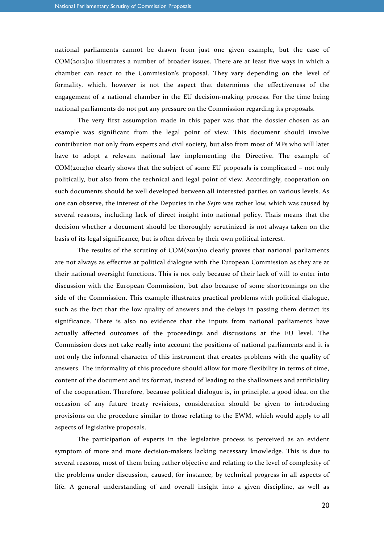national parliaments cannot be drawn from just one given example, but the case of COM(2012)10 illustrates a number of broader issues. There are at least five ways in which a chamber can react to the Commission's proposal. They vary depending on the level of formality, which, however is not the aspect that determines the effectiveness of the engagement of a national chamber in the EU decision-making process. For the time being national parliaments do not put any pressure on the Commission regarding its proposals.

The very first assumption made in this paper was that the dossier chosen as an example was significant from the legal point of view. This document should involve contribution not only from experts and civil society, but also from most of MPs who will later have to adopt a relevant national law implementing the Directive. The example of  $COM(zo12)$ 10 clearly shows that the subject of some EU proposals is complicated – not only politically, but also from the technical and legal point of view. Accordingly, cooperation on such documents should be well developed between all interested parties on various levels. As one can observe, the interest of the Deputies in the *Sejm* was rather low, which was caused by several reasons, including lack of direct insight into national policy. Thais means that the decision whether a document should be thoroughly scrutinized is not always taken on the basis of its legal significance, but is often driven by their own political interest.

The results of the scrutiny of COM(2012)10 clearly proves that national parliaments are not always as effective at political dialogue with the European Commission as they are at their national oversight functions. This is not only because of their lack of will to enter into discussion with the European Commission, but also because of some shortcomings on the side of the Commission. This example illustrates practical problems with political dialogue, such as the fact that the low quality of answers and the delays in passing them detract its significance. There is also no evidence that the inputs from national parliaments have actually affected outcomes of the proceedings and discussions at the EU level. The Commission does not take really into account the positions of national parliaments and it is not only the informal character of this instrument that creates problems with the quality of answers. The informality of this procedure should allow for more flexibility in terms of time, content of the document and its format, instead of leading to the shallowness and artificiality of the cooperation. Therefore, because political dialogue is, in principle, a good idea, on the occasion of any future treaty revisions, consideration should be given to introducing provisions on the procedure similar to those relating to the EWM, which would apply to all aspects of legislative proposals.

The participation of experts in the legislative process is perceived as an evident symptom of more and more decision-makers lacking necessary knowledge. This is due to several reasons, most of them being rather objective and relating to the level of complexity of the problems under discussion, caused, for instance, by technical progress in all aspects of life. A general understanding of and overall insight into a given discipline, as well as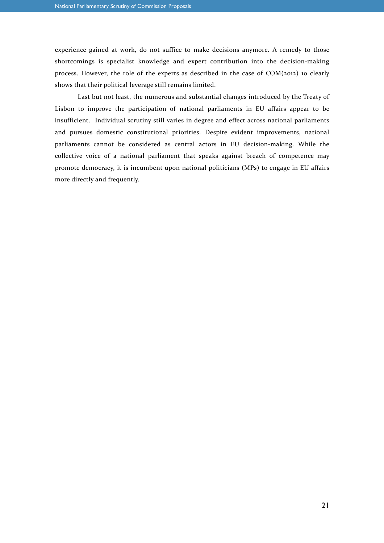experience gained at work, do not suffice to make decisions anymore. A remedy to those shortcomings is specialist knowledge and expert contribution into the decision-making process. However, the role of the experts as described in the case of COM(2012) 10 clearly shows that their political leverage still remains limited.

Last but not least, the numerous and substantial changes introduced by the Treaty of Lisbon to improve the participation of national parliaments in EU affairs appear to be insufficient. Individual scrutiny still varies in degree and effect across national parliaments and pursues domestic constitutional priorities. Despite evident improvements, national parliaments cannot be considered as central actors in EU decision-making. While the collective voice of a national parliament that speaks against breach of competence may promote democracy, it is incumbent upon national politicians (MPs) to engage in EU affairs more directly and frequently.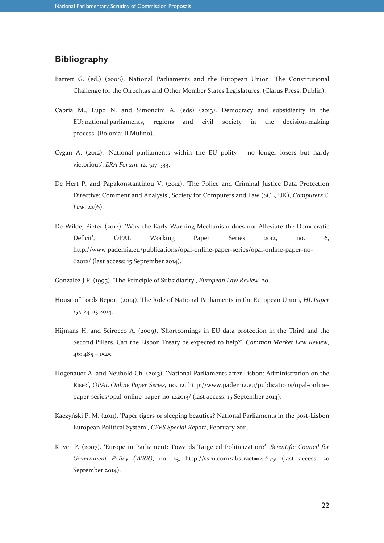## **Bibliography**

- Barrett G. (ed.) (2008). National Parliaments and the European Union: The Constitutional Challenge for the Oirechtas and Other Member States Legislatures, (Clarus Press: Dublin).
- Cabria M., Lupo N. and Simoncini A. (eds) (2013). Democracy and subsidiarity in the EU: national parliaments, regions and civil society in the decision-making process, (Bolonia: Il Mulino).
- Cygan A. (2012). 'National parliaments within the EU polity no longer losers but hardy victorious', *ERA Forum,* 12: 517-533.
- De Hert P. and Papakonstantinou V. (2012). 'The Police and Criminal Justice Data Protection Directive: Comment and Analysis', Society for Computers and Law (SCL, UK), *Computers & Law*, 22(6).
- De Wilde, Pieter (2012). 'Why the Early Warning Mechanism does not Alleviate the Democratic Deficit', OPAL Working Paper Series 2012, no. 6, http://www.pademia.eu/publications/opal-online-paper-series/opal-online-paper-no-62012/ (last access: 15 September 2014).
- Gonzalez J.P. (1995). 'The Principle of Subsidiarity', *European Law Review,* 20.
- House of Lords Report (2014). The Role of National Parliaments in the European Union, *HL Paper 151,* 24.03.2014.
- Hijmans H. and Scirocco A. (2009). 'Shortcomings in EU data protection in the Third and the Second Pillars. Can the Lisbon Treaty be expected to help?', *Common Market Law Review*,  $46:485 - 1525.$
- Hogenauer A. and Neuhold Ch. (2013). 'National Parliaments after Lisbon: Administration on the Rise?', *OPAL Online Paper Series,* no. 12, http://www.pademia.eu/publications/opal-onlinepaper-series/opal-online-paper-no-122013/ (last access: 15 September 2014).
- Kaczyński P. M. (2011). 'Paper tigers or sleeping beauties? National Parliaments in the post-Lisbon European Political System', *CEPS Special Report*, February 2011.
- Kiiver P. (2007). 'Europe in Parliament: Towards Targeted Politicization?', *Scientific Council for Government Policy (WRR)*, no. 23, http://ssrn.com/abstract=1416751 (last access: 20 September 2014).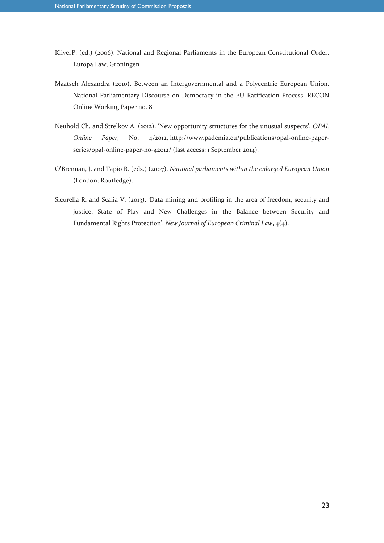- KiiverP. (ed.) (2006). National and Regional Parliaments in the European Constitutional Order. Europa Law, Groningen
- Maatsch Alexandra (2010). Between an Intergovernmental and a Polycentric European Union. National Parliamentary Discourse on Democracy in the EU Ratification Process, RECON Online Working Paper no. 8
- Neuhold Ch. and Strelkov A. (2012). 'New opportunity structures for the unusual suspects', *OPAL Online Paper,* No. 4/2012, http://www.pademia.eu/publications/opal-online-paperseries/opal-online-paper-no-42012/ (last access: 1 September 2014).
- O'Brennan, J. and Tapio R. (eds.) (2007). *National parliaments within the enlarged European Union* (London: Routledge).
- Sicurella R. and Scalia V. (2013). 'Data mining and profiling in the area of freedom, security and justice. State of Play and New Challenges in the Balance between Security and Fundamental Rights Protection', *New Journal of European Criminal Law*, 4(4).